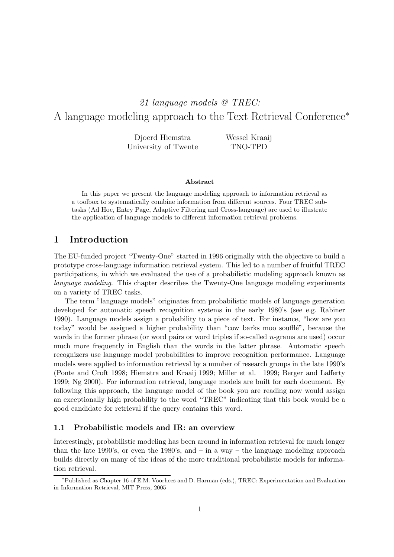# 21 language models @ TREC: A language modeling approach to the Text Retrieval Conference<sup>∗</sup>

Djoerd Hiemstra University of Twente Wessel Kraaij TNO-TPD

#### Abstract

In this paper we present the language modeling approach to information retrieval as a toolbox to systematically combine information from different sources. Four TREC subtasks (Ad Hoc, Entry Page, Adaptive Filtering and Cross-language) are used to illustrate the application of language models to different information retrieval problems.

## 1 Introduction

The EU-funded project "Twenty-One" started in 1996 originally with the objective to build a prototype cross-language information retrieval system. This led to a number of fruitful TREC participations, in which we evaluated the use of a probabilistic modeling approach known as language modeling. This chapter describes the Twenty-One language modeling experiments on a variety of TREC tasks.

The term "language models" originates from probabilistic models of language generation developed for automatic speech recognition systems in the early 1980's (see e.g. Rabiner 1990). Language models assign a probability to a piece of text. For instance, "how are you today" would be assigned a higher probability than "cow barks moo soufflé", because the words in the former phrase (or word pairs or word triples if so-called  $n$ -grams are used) occur much more frequently in English than the words in the latter phrase. Automatic speech recognizers use language model probabilities to improve recognition performance. Language models were applied to information retrieval by a number of research groups in the late 1990's (Ponte and Croft 1998; Hiemstra and Kraaij 1999; Miller et al. 1999; Berger and Lafferty 1999; Ng 2000). For information retrieval, language models are built for each document. By following this approach, the language model of the book you are reading now would assign an exceptionally high probability to the word "TREC" indicating that this book would be a good candidate for retrieval if the query contains this word.

#### 1.1 Probabilistic models and IR: an overview

Interestingly, probabilistic modeling has been around in information retrieval for much longer than the late 1990's, or even the 1980's, and – in a way – the language modeling approach builds directly on many of the ideas of the more traditional probabilistic models for information retrieval.

<sup>∗</sup>Published as Chapter 16 of E.M. Voorhees and D. Harman (eds.), TREC: Experimentation and Evaluation in Information Retrieval, MIT Press, 2005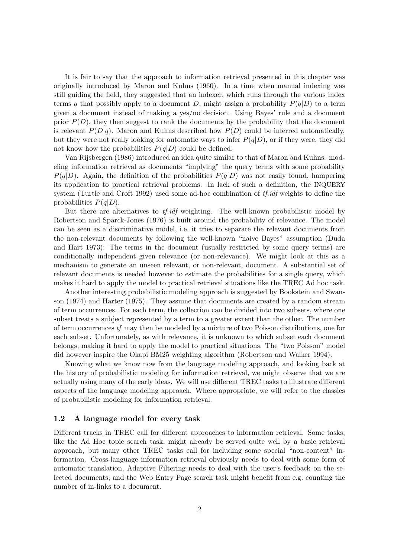It is fair to say that the approach to information retrieval presented in this chapter was originally introduced by Maron and Kuhns (1960). In a time when manual indexing was still guiding the field, they suggested that an indexer, which runs through the various index terms q that possibly apply to a document D, might assign a probability  $P(q|D)$  to a term given a document instead of making a yes/no decision. Using Bayes' rule and a document prior  $P(D)$ , they then suggest to rank the documents by the probability that the document is relevant  $P(D|q)$ . Maron and Kuhns described how  $P(D)$  could be inferred automatically, but they were not really looking for automatic ways to infer  $P(q|D)$ , or if they were, they did not know how the probabilities  $P(q|D)$  could be defined.

Van Rijsbergen (1986) introduced an idea quite similar to that of Maron and Kuhns: modeling information retrieval as documents "implying" the query terms with some probability  $P(q|D)$ . Again, the definition of the probabilities  $P(q|D)$  was not easily found, hampering its application to practical retrieval problems. In lack of such a definition, the INQUERY system (Turtle and Croft 1992) used some ad-hoc combination of  $tf.idf$  weights to define the probabilities  $P(q|D)$ .

But there are alternatives to tf.idf weighting. The well-known probabilistic model by Robertson and Sparck-Jones (1976) is built around the probability of relevance. The model can be seen as a discriminative model, i.e. it tries to separate the relevant documents from the non-relevant documents by following the well-known "naive Bayes" assumption (Duda and Hart 1973): The terms in the document (usually restricted by some query terms) are conditionally independent given relevance (or non-relevance). We might look at this as a mechanism to generate an unseen relevant, or non-relevant, document. A substantial set of relevant documents is needed however to estimate the probabilities for a single query, which makes it hard to apply the model to practical retrieval situations like the TREC Ad hoc task.

Another interesting probabilistic modeling approach is suggested by Bookstein and Swanson (1974) and Harter (1975). They assume that documents are created by a random stream of term occurrences. For each term, the collection can be divided into two subsets, where one subset treats a subject represented by a term to a greater extent than the other. The number of term occurrences tf may then be modeled by a mixture of two Poisson distributions, one for each subset. Unfortunately, as with relevance, it is unknown to which subset each document belongs, making it hard to apply the model to practical situations. The "two Poisson" model did however inspire the Okapi BM25 weighting algorithm (Robertson and Walker 1994).

Knowing what we know now from the language modeling approach, and looking back at the history of probabilistic modeling for information retrieval, we might observe that we are actually using many of the early ideas. We will use different TREC tasks to illustrate different aspects of the language modeling approach. Where appropriate, we will refer to the classics of probabilistic modeling for information retrieval.

#### 1.2 A language model for every task

Different tracks in TREC call for different approaches to information retrieval. Some tasks, like the Ad Hoc topic search task, might already be served quite well by a basic retrieval approach, but many other TREC tasks call for including some special "non-content" information. Cross-language information retrieval obviously needs to deal with some form of automatic translation, Adaptive Filtering needs to deal with the user's feedback on the selected documents; and the Web Entry Page search task might benefit from e.g. counting the number of in-links to a document.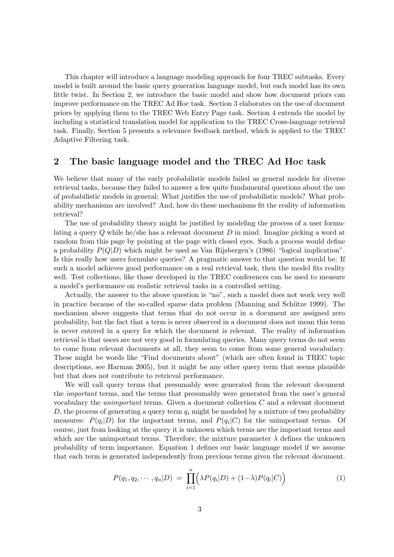This chapter will introduce a language modeling approach for four TREC subtasks. Every model is built around the basic query generation language model, but each model has its own little twist. In Section 2, we introduce the basic model and show how document priors can improve performance on the TREC Ad Hoc task. Section 3 elaborates on the use of document priors by applying them to the TREC Web Entry Page task. Section 4 extends the model by including a statistical translation model for application to the TREC Cross-language retrieval task. Finally, Section 5 presents a relevance feedback method, which is applied to the TREC Adaptive Filtering task.

## 2 The basic language model and the TREC Ad Hoc task

We believe that many of the early probabilistic models failed as general models for diverse retrieval tasks, because they failed to answer a few quite fundamental questions about the use of probabilistic models in general: What justifies the use of probabilistic models? What probability mechanisms are involved? And, how do these mechanisms fit the reality of information retrieval?

The use of probability theory might be justified by modeling the process of a user formulating a query Q while he/she has a relevant document D in mind. Imagine picking a word at random from this page by pointing at the page with closed eyes. Such a process would define a probability  $P(Q|D)$  which might be used as Van Rijsbergen's (1986) "logical implication". Is this really how users formulate queries? A pragmatic answer to that question would be: If such a model achieves good performance on a real retrieval task, then the model fits reality well. Test collections, like those developed in the TREC conferences can be used to measure a model's performance on realistic retrieval tasks in a controlled setting.

Actually, the answer to the above question is "no", such a model does not work very well in practice because of the so-called sparse data problem (Manning and Schütze 1999). The mechanism above suggests that terms that do not occur in a document are assigned zero probability, but the fact that a term is never observed in a document does not mean this term is never entered in a query for which the document is relevant. The reality of information retrieval is that users are not very good in formulating queries. Many query terms do not seem to come from relevant documents at all, they seem to come from some general vocabulary. These might be words like "Find documents about" (which are often found in TREC topic descriptions, see Harman 2005), but it might be any other query term that seems plausible but that does not contribute to retrieval performance.

We will call query terms that presumably were generated from the relevant document the important terms, and the terms that presumably were generated from the user's general vocabulary the unimportant terms. Given a document collection C and a relevant document D, the process of generating a query term  $q_i$  might be modeled by a mixture of two probability measures:  $P(q_i|D)$  for the important terms, and  $P(q_i|C)$  for the unimportant terms. Of course, just from looking at the query it is unknown which terms are the important terms and which are the unimportant terms. Therefore, the mixture parameter  $\lambda$  defines the unknown probability of term importance. Equation 1 defines our basic language model if we assume that each term is generated independently from previous terms given the relevant document.

$$
P(q_1, q_2, \cdots, q_n | D) = \prod_{i=1}^n \Big( \lambda P(q_i | D) + (1 - \lambda) P(q_i | C) \Big) \tag{1}
$$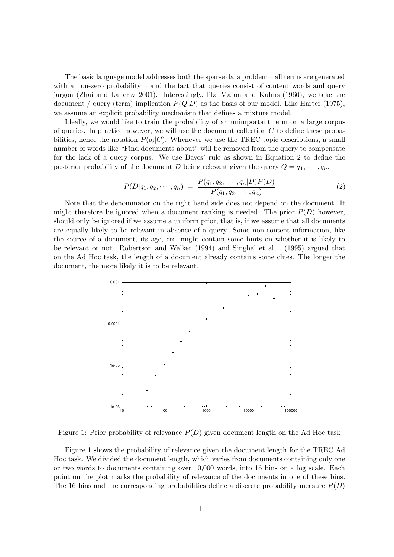The basic language model addresses both the sparse data problem – all terms are generated with a non-zero probability – and the fact that queries consist of content words and query jargon (Zhai and Lafferty 2001). Interestingly, like Maron and Kuhns (1960), we take the document / query (term) implication  $P(Q|D)$  as the basis of our model. Like Harter (1975), we assume an explicit probability mechanism that defines a mixture model.

Ideally, we would like to train the probability of an unimportant term on a large corpus of queries. In practice however, we will use the document collection  $C$  to define these probabilities, hence the notation  $P(q_i|C)$ . Whenever we use the TREC topic descriptions, a small number of words like "Find documents about" will be removed from the query to compensate for the lack of a query corpus. We use Bayes' rule as shown in Equation 2 to define the posterior probability of the document D being relevant given the query  $Q = q_1, \dots, q_n$ .

$$
P(D|q_1, q_2, \cdots, q_n) = \frac{P(q_1, q_2, \cdots, q_n | D) P(D)}{P(q_1, q_2, \cdots, q_n)} \tag{2}
$$

Note that the denominator on the right hand side does not depend on the document. It might therefore be ignored when a document ranking is needed. The prior  $P(D)$  however, should only be ignored if we assume a uniform prior, that is, if we assume that all documents are equally likely to be relevant in absence of a query. Some non-content information, like the source of a document, its age, etc. might contain some hints on whether it is likely to be relevant or not. Robertson and Walker (1994) and Singhal et al. (1995) argued that on the Ad Hoc task, the length of a document already contains some clues. The longer the document, the more likely it is to be relevant.



Figure 1: Prior probability of relevance  $P(D)$  given document length on the Ad Hoc task

Figure 1 shows the probability of relevance given the document length for the TREC Ad Hoc task. We divided the document length, which varies from documents containing only one or two words to documents containing over 10,000 words, into 16 bins on a log scale. Each point on the plot marks the probability of relevance of the documents in one of these bins. The 16 bins and the corresponding probabilities define a discrete probability measure  $P(D)$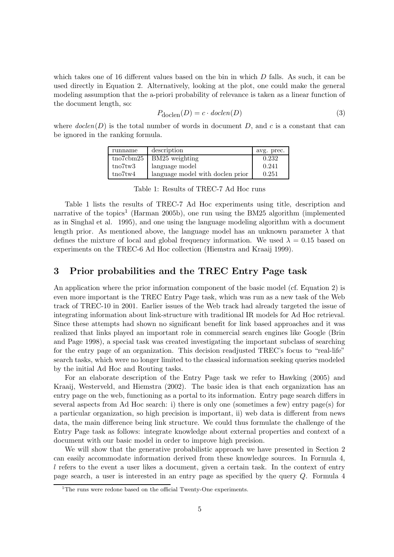which takes one of 16 different values based on the bin in which D falls. As such, it can be used directly in Equation 2. Alternatively, looking at the plot, one could make the general modeling assumption that the a-priori probability of relevance is taken as a linear function of the document length, so:

$$
P_{\text{doclen}}(D) = c \cdot \text{doclen}(D) \tag{3}
$$

where  $\text{doclen}(D)$  is the total number of words in document D, and c is a constant that can be ignored in the ranking formula.

| runname            | description                      | avg. prec. |
|--------------------|----------------------------------|------------|
| $\text{tno7cbm25}$ | BM25 weighting                   | 0.232      |
| tno7tw3            | language model                   | 0.241      |
| tno7tw4            | language model with doclen prior | 0.251      |

Table 1: Results of TREC-7 Ad Hoc runs

Table 1 lists the results of TREC-7 Ad Hoc experiments using title, description and narrative of the topics<sup>1</sup> (Harman 2005b), one run using the BM25 algorithm (implemented as in Singhal et al. 1995), and one using the language modeling algorithm with a document length prior. As mentioned above, the language model has an unknown parameter  $\lambda$  that defines the mixture of local and global frequency information. We used  $\lambda = 0.15$  based on experiments on the TREC-6 Ad Hoc collection (Hiemstra and Kraaij 1999).

# 3 Prior probabilities and the TREC Entry Page task

An application where the prior information component of the basic model (cf. Equation 2) is even more important is the TREC Entry Page task, which was run as a new task of the Web track of TREC-10 in 2001. Earlier issues of the Web track had already targeted the issue of integrating information about link-structure with traditional IR models for Ad Hoc retrieval. Since these attempts had shown no significant benefit for link based approaches and it was realized that links played an important role in commercial search engines like Google (Brin and Page 1998), a special task was created investigating the important subclass of searching for the entry page of an organization. This decision readjusted TREC's focus to "real-life" search tasks, which were no longer limited to the classical information seeking queries modeled by the initial Ad Hoc and Routing tasks.

For an elaborate description of the Entry Page task we refer to Hawking (2005) and Kraaij, Westerveld, and Hiemstra (2002). The basic idea is that each organization has an entry page on the web, functioning as a portal to its information. Entry page search differs in several aspects from Ad Hoc search: i) there is only one (sometimes a few) entry page(s) for a particular organization, so high precision is important, ii) web data is different from news data, the main difference being link structure. We could thus formulate the challenge of the Entry Page task as follows: integrate knowledge about external properties and context of a document with our basic model in order to improve high precision.

We will show that the generative probabilistic approach we have presented in Section 2 can easily accommodate information derived from these knowledge sources. In Formula 4, l refers to the event a user likes a document, given a certain task. In the context of entry page search, a user is interested in an entry page as specified by the query Q. Formula 4

<sup>&</sup>lt;sup>1</sup>The runs were redone based on the official Twenty-One experiments.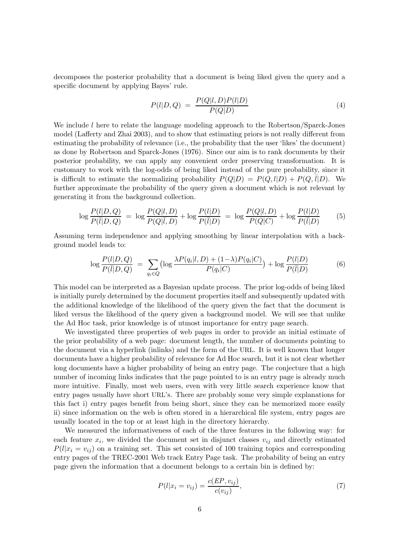decomposes the posterior probability that a document is being liked given the query and a specific document by applying Bayes' rule.

$$
P(l|D,Q) = \frac{P(Q|l,D)P(l|D)}{P(Q|D)}\tag{4}
$$

We include  $l$  here to relate the language modeling approach to the Robertson/Sparck-Jones model (Lafferty and Zhai 2003), and to show that estimating priors is not really different from estimating the probability of relevance (i.e., the probability that the user 'likes' the document) as done by Robertson and Sparck-Jones (1976). Since our aim is to rank documents by their posterior probability, we can apply any convenient order preserving transformation. It is customary to work with the log-odds of being liked instead of the pure probability, since it is difficult to estimate the normalizing probability  $P(Q|D) = P(Q, l|D) + P(Q, \overline{l}|D)$ . We further approximate the probability of the query given a document which is not relevant by generating it from the background collection.

$$
\log \frac{P(l|D,Q)}{P(\bar{l}|D,Q)} = \log \frac{P(Q|l,D)}{P(Q|\bar{l},D)} + \log \frac{P(l|D)}{P(\bar{l}|D)} = \log \frac{P(Q|l,D)}{P(Q|C)} + \log \frac{P(l|D)}{P(\bar{l}|D)} \tag{5}
$$

Assuming term independence and applying smoothing by linear interpolation with a background model leads to:

$$
\log \frac{P(l|D,Q)}{P(\bar{l}|D,Q)} = \sum_{q_i \in Q} \left( \log \frac{\lambda P(q_i|l,D) + (1-\lambda)P(q_i|C)}{P(q_i|C)} \right) + \log \frac{P(l|D)}{P(\bar{l}|D)} \tag{6}
$$

This model can be interpreted as a Bayesian update process. The prior log-odds of being liked is initially purely determined by the document properties itself and subsequently updated with the additional knowledge of the likelihood of the query given the fact that the document is liked versus the likelihood of the query given a background model. We will see that unlike the Ad Hoc task, prior knowledge is of utmost importance for entry page search.

We investigated three properties of web pages in order to provide an initial estimate of the prior probability of a web page: document length, the number of documents pointing to the document via a hyperlink (inlinks) and the form of the URL. It is well known that longer documents have a higher probability of relevance for Ad Hoc search, but it is not clear whether long documents have a higher probability of being an entry page. The conjecture that a high number of incoming links indicates that the page pointed to is an entry page is already much more intuitive. Finally, most web users, even with very little search experience know that entry pages usually have short URL's. There are probably some very simple explanations for this fact i) entry pages benefit from being short, since they can be memorized more easily ii) since information on the web is often stored in a hierarchical file system, entry pages are usually located in the top or at least high in the directory hierarchy.

We measured the informativeness of each of the three features in the following way: for each feature  $x_i$ , we divided the document set in disjunct classes  $v_{ij}$  and directly estimated  $P(l|x_i = v_{ij})$  on a training set. This set consisted of 100 training topics and corresponding entry pages of the TREC-2001 Web track Entry Page task. The probability of being an entry page given the information that a document belongs to a certain bin is defined by:

$$
P(l|x_i = v_{ij}) = \frac{c(EP, v_{ij})}{c(v_{ij})},
$$
\n(7)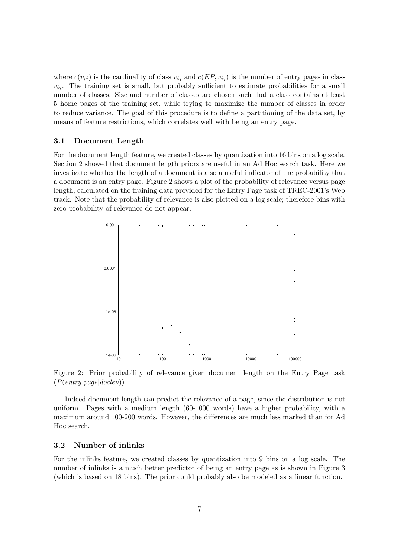where  $c(v_{ij})$  is the cardinality of class  $v_{ij}$  and  $c(EP, v_{ij})$  is the number of entry pages in class  $v_{ij}$ . The training set is small, but probably sufficient to estimate probabilities for a small number of classes. Size and number of classes are chosen such that a class contains at least 5 home pages of the training set, while trying to maximize the number of classes in order to reduce variance. The goal of this procedure is to define a partitioning of the data set, by means of feature restrictions, which correlates well with being an entry page.

#### 3.1 Document Length

For the document length feature, we created classes by quantization into 16 bins on a log scale. Section 2 showed that document length priors are useful in an Ad Hoc search task. Here we investigate whether the length of a document is also a useful indicator of the probability that a document is an entry page. Figure 2 shows a plot of the probability of relevance versus page length, calculated on the training data provided for the Entry Page task of TREC-2001's Web track. Note that the probability of relevance is also plotted on a log scale; therefore bins with zero probability of relevance do not appear.



Figure 2: Prior probability of relevance given document length on the Entry Page task  $(P(entry \ page | doclen))$ 

Indeed document length can predict the relevance of a page, since the distribution is not uniform. Pages with a medium length (60-1000 words) have a higher probability, with a maximum around 100-200 words. However, the differences are much less marked than for Ad Hoc search.

#### 3.2 Number of inlinks

For the inlinks feature, we created classes by quantization into 9 bins on a log scale. The number of inlinks is a much better predictor of being an entry page as is shown in Figure 3 (which is based on 18 bins). The prior could probably also be modeled as a linear function.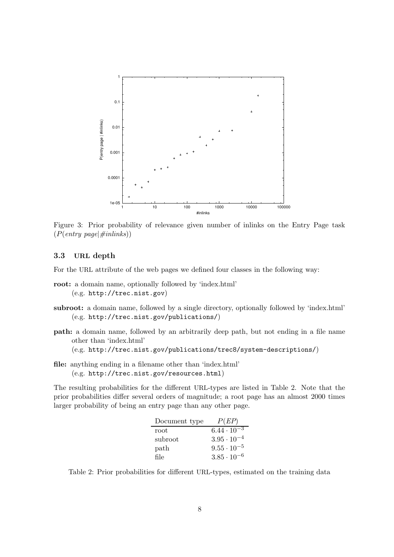

Figure 3: Prior probability of relevance given number of inlinks on the Entry Page task  $(P(entry \ page | \#inlinks))$ 

#### 3.3 URL depth

For the URL attribute of the web pages we defined four classes in the following way:

- root: a domain name, optionally followed by 'index.html' (e.g. http://trec.nist.gov)
- subroot: a domain name, followed by a single directory, optionally followed by 'index.html' (e.g. http://trec.nist.gov/publications/)
- path: a domain name, followed by an arbitrarily deep path, but not ending in a file name other than 'index.html'

(e.g. http://trec.nist.gov/publications/trec8/system-descriptions/)

file: anything ending in a filename other than 'index.html' (e.g. http://trec.nist.gov/resources.html)

The resulting probabilities for the different URL-types are listed in Table 2. Note that the prior probabilities differ several orders of magnitude; a root page has an almost 2000 times larger probability of being an entry page than any other page.

| Document type | P(EP)                           |
|---------------|---------------------------------|
| root          | $6.44 \cdot \overline{10^{-3}}$ |
| subroot       | $3.95 \cdot 10^{-4}$            |
| path          | $9.55 \cdot 10^{-5}$            |
| file          | $3.85 \cdot 10^{-6}$            |

Table 2: Prior probabilities for different URL-types, estimated on the training data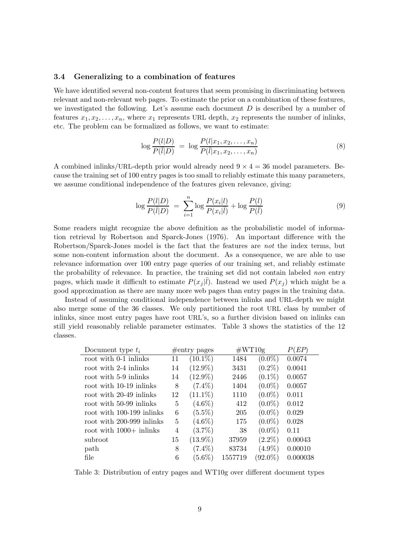#### 3.4 Generalizing to a combination of features

We have identified several non-content features that seem promising in discriminating between relevant and non-relevant web pages. To estimate the prior on a combination of these features, we investigated the following. Let's assume each document  $D$  is described by a number of features  $x_1, x_2, \ldots, x_n$ , where  $x_1$  represents URL depth,  $x_2$  represents the number of inlinks, etc. The problem can be formalized as follows, we want to estimate:

$$
\log \frac{P(l|D)}{P(\bar{l}|D)} = \log \frac{P(l|x_1, x_2, \dots, x_n)}{P(\bar{l}|x_1, x_2, \dots, x_n)}
$$
(8)

A combined inlinks/URL-depth prior would already need  $9 \times 4 = 36$  model parameters. Because the training set of 100 entry pages is too small to reliably estimate this many parameters, we assume conditional independence of the features given relevance, giving:

$$
\log \frac{P(l|D)}{P(\overline{l}|D)} = \sum_{i=1}^{n} \log \frac{P(x_i|l)}{P(x_i|\overline{l})} + \log \frac{P(l)}{P(\overline{l})}
$$
(9)

Some readers might recognize the above definition as the probabilistic model of information retrieval by Robertson and Sparck-Jones (1976). An important difference with the Robertson/Sparck-Jones model is the fact that the features are not the index terms, but some non-content information about the document. As a consequence, we are able to use relevance information over 100 entry page queries of our training set, and reliably estimate the probability of relevance. In practice, the training set did not contain labeled non entry pages, which made it difficult to estimate  $P(x_j|\bar{l})$ . Instead we used  $P(x_j)$  which might be a good approximation as there are many more web pages than entry pages in the training data.

Instead of assuming conditional independence between inlinks and URL-depth we might also merge some of the 36 classes. We only partitioned the root URL class by number of inlinks, since most entry pages have root URL's, so a further division based on inlinks can still yield reasonably reliable parameter estimates. Table 3 shows the statistics of the 12 classes.

| Document type $t_i$       |    | $\#$ entry pages | $\#\mathrm{WT10g}$ | P(EP)      |          |
|---------------------------|----|------------------|--------------------|------------|----------|
| root with 0-1 inlinks     | 11 | $(10.1\%)$       | 1484               | $(0.0\%)$  | 0.0074   |
| root with 2-4 inlinks     | 14 | $(12.9\%)$       | 3431               | $(0.2\%)$  | 0.0041   |
| root with 5-9 in links    | 14 | $(12.9\%)$       | 2446               | $(0.1\%)$  | 0.0057   |
| root with 10-19 in links  | 8  | $(7.4\%)$        | 1404               | $(0.0\%)$  | 0.0057   |
| root with 20-49 in links  | 12 | $(11.1\%)$       | 1110               | $(0.0\%)$  | 0.011    |
| root with 50-99 inlinks   | 5  | $(4.6\%)$        | 412                | $(0.0\%)$  | 0.012    |
| root with 100-199 inlinks | 6  | $(5.5\%)$        | 205                | $(0.0\%)$  | 0.029    |
| root with 200-999 inlinks | 5  | $(4.6\%)$        | 175                | $(0.0\%)$  | 0.028    |
| root with $1000+$ inlinks | 4  | $(3.7\%)$        | 38                 | $(0.0\%)$  | 0.11     |
| subroot                   | 15 | $(13.9\%)$       | 37959              | $(2.2\%)$  | 0.00043  |
| path                      | 8  | $(7.4\%)$        | 83734              | $(4.9\%)$  | 0.00010  |
| file                      | 6  | $(5.6\%)$        | 1557719            | $(92.0\%)$ | 0.000038 |

Table 3: Distribution of entry pages and WT10g over different document types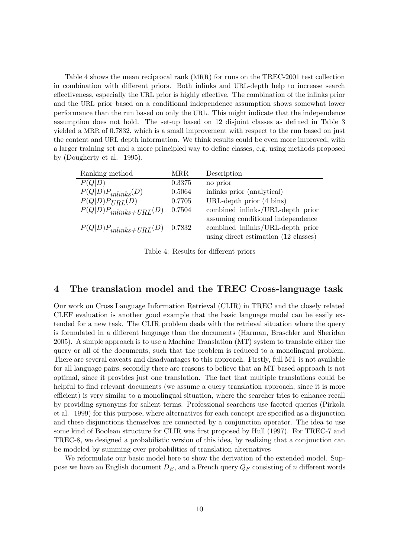Table 4 shows the mean reciprocal rank (MRR) for runs on the TREC-2001 test collection in combination with different priors. Both inlinks and URL-depth help to increase search effectiveness, especially the URL prior is highly effective. The combination of the inlinks prior and the URL prior based on a conditional independence assumption shows somewhat lower performance than the run based on only the URL. This might indicate that the independence assumption does not hold. The set-up based on 12 disjoint classes as defined in Table 3 yielded a MRR of 0.7832, which is a small improvement with respect to the run based on just the content and URL depth information. We think results could be even more improved, with a larger training set and a more principled way to define classes, e.g. using methods proposed by (Dougherty et al. 1995).

| Ranking method             | MRR    | Description                          |
|----------------------------|--------|--------------------------------------|
| P(Q D)                     | 0.3375 | no prior                             |
| $P(Q D)P_{inlinks}(D)$     | 0.5064 | inlinks prior (analytical)           |
| $P(Q D)P_{URL}(D)$         | 0.7705 | URL-depth prior $(4 \text{ bins})$   |
| $P(Q D)P_{inlinks+URL}(D)$ | 0.7504 | combined inlinks/URL-depth prior     |
|                            |        | assuming conditional independence    |
| $P(Q D)P_{inlinks+URL}(D)$ | 0.7832 | combined inlinks/URL-depth prior     |
|                            |        | using direct estimation (12 classes) |

Table 4: Results for different priors

## 4 The translation model and the TREC Cross-language task

Our work on Cross Language Information Retrieval (CLIR) in TREC and the closely related CLEF evaluation is another good example that the basic language model can be easily extended for a new task. The CLIR problem deals with the retrieval situation where the query is formulated in a different language than the documents (Harman, Braschler and Sheridan 2005). A simple approach is to use a Machine Translation (MT) system to translate either the query or all of the documents, such that the problem is reduced to a monolingual problem. There are several caveats and disadvantages to this approach. Firstly, full MT is not available for all language pairs, secondly there are reasons to believe that an MT based approach is not optimal, since it provides just one translation. The fact that multiple translations could be helpful to find relevant documents (we assume a query translation approach, since it is more efficient) is very similar to a monolingual situation, where the searcher tries to enhance recall by providing synonyms for salient terms. Professional searchers use faceted queries (Pirkola et al. 1999) for this purpose, where alternatives for each concept are specified as a disjunction and these disjunctions themselves are connected by a conjunction operator. The idea to use some kind of Boolean structure for CLIR was first proposed by Hull (1997). For TREC-7 and TREC-8, we designed a probabilistic version of this idea, by realizing that a conjunction can be modeled by summing over probabilities of translation alternatives

We reformulate our basic model here to show the derivation of the extended model. Suppose we have an English document  $D_E$ , and a French query  $Q_F$  consisting of n different words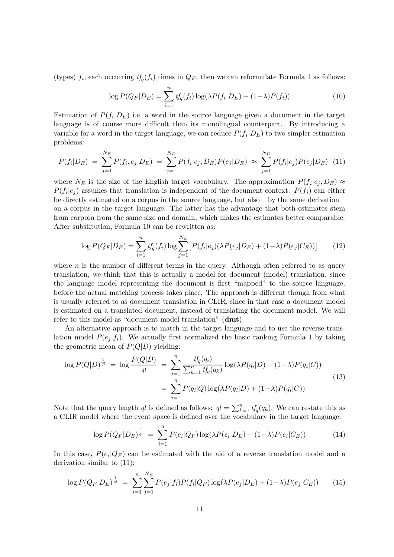(types)  $f_i$ , each occurring  $tf_q(f_i)$  times in  $Q_F$ , then we can reformulate Formula 1 as follows:

$$
\log P(Q_F|D_E) = \sum_{i=1}^{n} t f_q(f_i) \log(\lambda P(f_i|D_E) + (1-\lambda)P(f_i))
$$
\n(10)

Estimation of  $P(f_i|D_E)$  i.e. a word in the source language given a document in the target language is of course more difficult than its monolingual counterpart. By introducing a variable for a word in the target language, we can reduce  $P(f_i|D_E)$  to two simpler estimation problems:

$$
P(f_i|D_E) = \sum_{j=1}^{N_E} P(f_i, e_j|D_E) = \sum_{j=1}^{N_E} P(f_i|e_j, D_E) P(e_j|D_E) \approx \sum_{j=1}^{N_E} P(f_i|e_j) P(e_j|D_E) \tag{11}
$$

where  $N_E$  is the size of the English target vocabulary. The approximation  $P(f_i|e_j, D_E) \approx$  $P(f_i|e_j)$  assumes that translation is independent of the document context.  $P(f_i)$  can either be directly estimated on a corpus in the source language, but also – by the same derivation – on a corpus in the target language. The latter has the advantage that both estimates stem from corpora from the same size and domain, which makes the estimates better comparable. After substitution, Formula 10 can be rewritten as:

$$
\log P(Q_F|D_E) = \sum_{i=1}^n t f_q(f_i) \log \sum_{j=1}^{N_E} \left[ P(f_i|e_j) (\lambda P(e_j|D_E) + (1-\lambda) P(e_j|C_E)) \right] \tag{12}
$$

where  $n$  is the number of different terms in the query. Although often referred to as query translation, we think that this is actually a model for document (model) translation, since the language model representing the document is first "mapped" to the source language, before the actual matching process takes place. The approach is different though from what is usually referred to as document translation in CLIR, since in that case a document model is estimated on a translated document, instead of translating the document model. We will refer to this model as "document model translation" (dmt).

An alternative approach is to match in the target language and to use the reverse translation model  $P(e_i | f_i)$ . We actually first normalized the basic ranking Formula 1 by taking the geometric mean of  $P(Q|D)$  yielding:

$$
\log P(Q|D)^{\frac{1}{q}} = \log \frac{P(Q|D)}{q} = \sum_{i=1}^{n} \frac{tf_q(q_i)}{\sum_{k=1}^{n} tf_q(q_k)} \log(\lambda P(q_i|D) + (1-\lambda)P(q_i|C))
$$
  
= 
$$
\sum_{i=1}^{n} P(q_i|Q) \log(\lambda P(q_i|D) + (1-\lambda)P(q_i|C))
$$
 (13)

Note that the query length ql is defined as follows:  $q = \sum_{k=1}^{n} tf_q(q_k)$ . We can restate this as a CLIR model where the event space is defined over the vocabulary in the target language:

$$
\log P(Q_F|D_E)^{\frac{1}{q}} = \sum_{i=1}^{n} P(e_i|Q_F) \log(\lambda P(e_i|D_E) + (1-\lambda)P(e_i|C_E))
$$
\n(14)

In this case,  $P(e_i|Q_F)$  can be estimated with the aid of a reverse translation model and a derivation similar to (11):

$$
\log P(Q_F|D_E)^{\frac{1}{q}} = \sum_{i=1}^{n} \sum_{j=1}^{N_E} P(e_j|f_i) P(f_i|Q_F) \log(\lambda P(e_j|D_E) + (1-\lambda)P(e_j|C_E)) \tag{15}
$$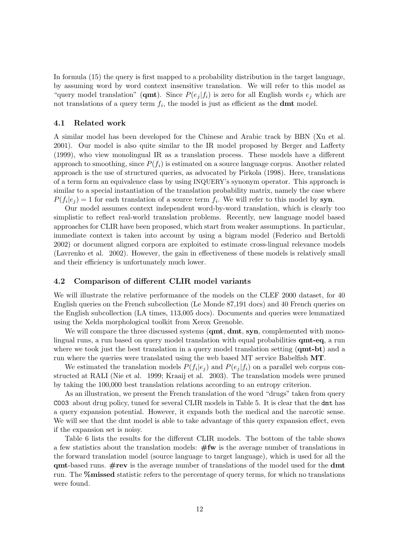In formula (15) the query is first mapped to a probability distribution in the target language, by assuming word by word context insensitive translation. We will refer to this model as "query model translation" (**qmt**). Since  $P(e_j | f_i)$  is zero for all English words  $e_j$  which are not translations of a query term  $f_i$ , the model is just as efficient as the **dmt** model.

#### 4.1 Related work

A similar model has been developed for the Chinese and Arabic track by BBN (Xu et al. 2001). Our model is also quite similar to the IR model proposed by Berger and Lafferty (1999), who view monolingual IR as a translation process. These models have a different approach to smoothing, since  $P(f_i)$  is estimated on a source language corpus. Another related approach is the use of structured queries, as advocated by Pirkola (1998). Here, translations of a term form an equivalence class by using INQUERY's synonym operator. This approach is similar to a special instantiation of the translation probability matrix, namely the case where  $P(f_i|e_j) = 1$  for each translation of a source term  $f_i$ . We will refer to this model by syn.

Our model assumes context independent word-by-word translation, which is clearly too simplistic to reflect real-world translation problems. Recently, new language model based approaches for CLIR have been proposed, which start from weaker assumptions. In particular, immediate context is taken into account by using a bigram model (Federico and Bertoldi 2002) or document aligned corpora are exploited to estimate cross-lingual relevance models (Lavrenko et al. 2002). However, the gain in effectiveness of these models is relatively small and their efficiency is unfortunately much lower.

#### 4.2 Comparison of different CLIR model variants

We will illustrate the relative performance of the models on the CLEF 2000 dataset, for 40 English queries on the French subcollection (Le Monde 87,191 docs) and 40 French queries on the English subcollection (LA times, 113,005 docs). Documents and queries were lemmatized using the Xelda morphological toolkit from Xerox Grenoble.

We will compare the three discussed systems (qmt, dmt, syn, complemented with monolingual runs, a run based on query model translation with equal probabilities qmt-eq, a run where we took just the best translation in a query model translation setting  $(\text{qmt-bit})$  and a run where the queries were translated using the web based MT service Babelfish MT.

We estimated the translation models  $P(f_i|e_j)$  and  $P(e_j|f_i)$  on a parallel web corpus constructed at RALI (Nie et al. 1999; Kraaij et al. 2003). The translation models were pruned by taking the 100,000 best translation relations according to an entropy criterion.

As an illustration, we present the French translation of the word "drugs" taken from query C003 about drug policy, tuned for several CLIR models in Table 5. It is clear that the dmt has a query expansion potential. However, it expands both the medical and the narcotic sense. We will see that the dmt model is able to take advantage of this query expansion effect, even if the expansion set is noisy.

Table 6 lists the results for the different CLIR models. The bottom of the table shows a few statistics about the translation models:  $#fw$  is the average number of translations in the forward translation model (source language to target language), which is used for all the  $qmt$ -based runs.  $\#rev$  is the average number of translations of the model used for the dmt run. The %missed statistic refers to the percentage of query terms, for which no translations were found.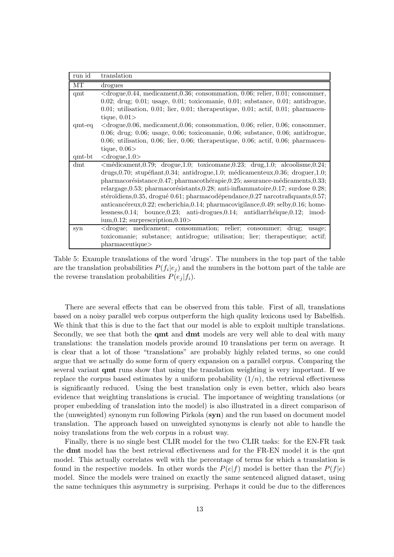| run id   | translation                                                                                      |  |  |  |  |  |
|----------|--------------------------------------------------------------------------------------------------|--|--|--|--|--|
| MТ       | drogues                                                                                          |  |  |  |  |  |
| qmt      | $\langle$ drogue, 0.44, medicament, 0.36; consommation, 0.06; relier, 0.01; consommer,           |  |  |  |  |  |
|          | $0.02$ ; drug; $0.01$ ; usage, $0.01$ ; toxicomanie, $0.01$ ; substance, $0.01$ ; antidrogue,    |  |  |  |  |  |
|          | $0.01$ ; utilisation, $0.01$ ; lier, $0.01$ ; therapeutique, $0.01$ ; actif, $0.01$ ; pharmaceu- |  |  |  |  |  |
|          | tique, $0.01>$                                                                                   |  |  |  |  |  |
| $qmt-eq$ | $\langle$ drogue, 0.06, medicament, 0.06; consommation, 0.06; relier, 0.06; consommer,           |  |  |  |  |  |
|          | 0.06; drug; 0.06; usage, 0.06; toxicomanie, 0.06; substance, 0.06; antidrogue,                   |  |  |  |  |  |
|          | $0.06$ ; utilisation, $0.06$ ; lier, $0.06$ ; therapeutique, $0.06$ ; actif, $0.06$ ; pharmaceu- |  |  |  |  |  |
|          | tique, $0.06>$                                                                                   |  |  |  |  |  |
| qmt-bt   | $<$ drogue, $1.0>$                                                                               |  |  |  |  |  |
| dmt      | $\langle$ médicament,0.79; drogue,1.0; toxicomane,0.23; drug,1.0; alcoolisme,0.24;               |  |  |  |  |  |
|          | drugs, 0.70; stupéfiant, 0.34; antidrogue, 1.0; médicamenteux, 0.36; droguer, 1.0;               |  |  |  |  |  |
|          | pharmacorésistance, 0.47; pharmacothérapie, 0.25; assurance-médicaments, 0.33;                   |  |  |  |  |  |
|          | relargage, $0.53$ ; pharmacorésistants, $0.28$ ; anti-inflammatoire, $0.17$ ; surdose $0.28$ ;   |  |  |  |  |  |
|          | stéroïdiens, $0.35$ , drogué $0.61$ ; pharmacodépendance, $0.27$ narcotrafiquants, $0.57$ ;      |  |  |  |  |  |
|          | $anticancéreux, 0.22$ ; escherichia, 0.14; pharmacovigilance, 0.49; selby, 0.16; home-           |  |  |  |  |  |
|          | $lessness, 0.14; bounce, 0.23; anti-drogues, 0.14; antidiarhéique, 0.12; imod-$                  |  |  |  |  |  |
|          | $\text{ium}, 0.12$ ; surprescription, 0.10 >                                                     |  |  |  |  |  |
| syn      | <drogue; consommation;="" consommer;="" drug;<br="" medicament;="" relier;="">usage;</drogue;>   |  |  |  |  |  |
|          | toxicomanie; substance; antidrogue; utilisation; lier; therapeutique; actif;                     |  |  |  |  |  |
|          | pharmaceutique>                                                                                  |  |  |  |  |  |

Table 5: Example translations of the word 'drugs'. The numbers in the top part of the table are the translation probabilities  $P(f_i|e_j)$  and the numbers in the bottom part of the table are the reverse translation probabilities  $P(e_j | f_i)$ .

There are several effects that can be observed from this table. First of all, translations based on a noisy parallel web corpus outperform the high quality lexicons used by Babelfish. We think that this is due to the fact that our model is able to exploit multiple translations. Secondly, we see that both the **qmt** and **dmt** models are very well able to deal with many translations: the translation models provide around 10 translations per term on average. It is clear that a lot of those "translations" are probably highly related terms, so one could argue that we actually do some form of query expansion on a parallel corpus. Comparing the several variant qmt runs show that using the translation weighting is very important. If we replace the corpus based estimates by a uniform probability  $(1/n)$ , the retrieval effectiveness is significantly reduced. Using the best translation only is even better, which also bears evidence that weighting translations is crucial. The importance of weighting translations (or proper embedding of translation into the model) is also illustrated in a direct comparison of the (unweighted) synonym run following Pirkola  $(syn)$  and the run based on document model translation. The approach based on unweighted synonyms is clearly not able to handle the noisy translations from the web corpus in a robust way.

Finally, there is no single best CLIR model for the two CLIR tasks: for the EN-FR task the dmt model has the best retrieval effectiveness and for the FR-EN model it is the qmt model. This actually correlates well with the percentage of terms for which a translation is found in the respective models. In other words the  $P(e|f)$  model is better than the  $P(f|e)$ model. Since the models were trained on exactly the same sentenced aligned dataset, using the same techniques this asymmetry is surprising. Perhaps it could be due to the differences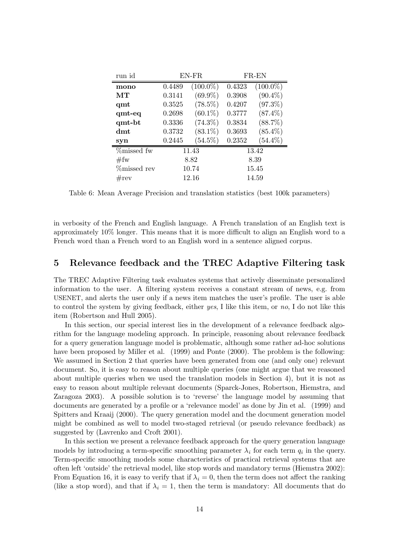| run id             | EN-FR  |             | FR-EN  |             |  |
|--------------------|--------|-------------|--------|-------------|--|
| mono               | 0.4489 | $(100.0\%)$ | 0.4323 | $(100.0\%)$ |  |
| MТ                 | 0.3141 | $(69.9\%)$  | 0.3908 | $(90.4\%)$  |  |
| qmt                | 0.3525 | $(78.5\%)$  | 0.4207 | $(97.3\%)$  |  |
| $qmt-eq$           | 0.2698 | $(60.1\%)$  | 0.3777 | $(87.4\%)$  |  |
| qmt-bt             | 0.3336 | $(74.3\%)$  | 0.3834 | $(88.7\%)$  |  |
| dmt                | 0.3732 | $(83.1\%)$  | 0.3693 | $(85.4\%)$  |  |
| syn                | 0.2445 | $(54.5\%)$  | 0.2352 | $(54.4\%)$  |  |
| %missed fw         | 11.43  |             | 13.42  |             |  |
| #fw                | 8.82   |             | 8.39   |             |  |
| <i>m</i> issed rev | 10.74  |             | 15.45  |             |  |
| $\#rev$            |        | 12.16       | 14.59  |             |  |

Table 6: Mean Average Precision and translation statistics (best 100k parameters)

in verbosity of the French and English language. A French translation of an English text is approximately 10% longer. This means that it is more difficult to align an English word to a French word than a French word to an English word in a sentence aligned corpus.

## 5 Relevance feedback and the TREC Adaptive Filtering task

The TREC Adaptive Filtering task evaluates systems that actively disseminate personalized information to the user. A filtering system receives a constant stream of news, e.g. from USENET, and alerts the user only if a news item matches the user's profile. The user is able to control the system by giving feedback, either yes, I like this item, or no, I do not like this item (Robertson and Hull 2005).

In this section, our special interest lies in the development of a relevance feedback algorithm for the language modeling approach. In principle, reasoning about relevance feedback for a query generation language model is problematic, although some rather ad-hoc solutions have been proposed by Miller et al. (1999) and Ponte (2000). The problem is the following: We assumed in Section 2 that queries have been generated from one (and only one) relevant document. So, it is easy to reason about multiple queries (one might argue that we reasoned about multiple queries when we used the translation models in Section 4), but it is not as easy to reason about multiple relevant documents (Sparck-Jones, Robertson, Hiemstra, and Zaragoza 2003). A possible solution is to 'reverse' the language model by assuming that documents are generated by a profile or a 'relevance model' as done by Jin et al. (1999) and Spitters and Kraaij (2000). The query generation model and the document generation model might be combined as well to model two-staged retrieval (or pseudo relevance feedback) as suggested by (Lavrenko and Croft 2001).

In this section we present a relevance feedback approach for the query generation language models by introducing a term-specific smoothing parameter  $\lambda_i$  for each term  $q_i$  in the query. Term-specific smoothing models some characteristics of practical retrieval systems that are often left 'outside' the retrieval model, like stop words and mandatory terms (Hiemstra 2002): From Equation 16, it is easy to verify that if  $\lambda_i = 0$ , then the term does not affect the ranking (like a stop word), and that if  $\lambda_i = 1$ , then the term is mandatory: All documents that do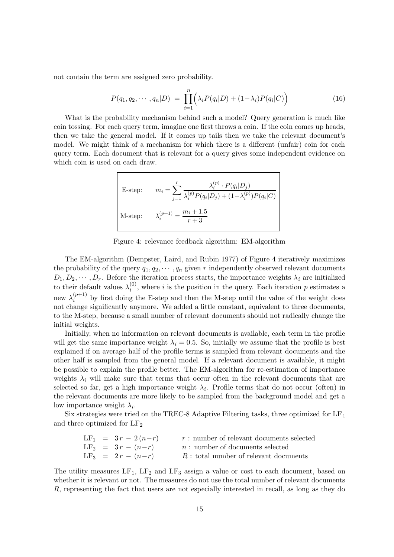not contain the term are assigned zero probability.

$$
P(q_1, q_2, \cdots, q_n | D) = \prod_{i=1}^n \left( \lambda_i P(q_i | D) + (1 - \lambda_i) P(q_i | C) \right)
$$
 (16)

What is the probability mechanism behind such a model? Query generation is much like coin tossing. For each query term, imagine one first throws a coin. If the coin comes up heads, then we take the general model. If it comes up tails then we take the relevant document's model. We might think of a mechanism for which there is a different (unfair) coin for each query term. Each document that is relevant for a query gives some independent evidence on which coin is used on each draw.

E-step: 
$$
m_i = \sum_{j=1}^r \frac{\lambda_i^{(p)} \cdot P(q_i|D_j)}{\lambda_i^{(p)} P(q_i|D_j) + (1 - \lambda_i^{(p)}) P(q_i|C)}
$$
  
M-step: 
$$
\lambda_i^{(p+1)} = \frac{m_i + 1.5}{r + 3}
$$

Figure 4: relevance feedback algorithm: EM-algorithm

The EM-algorithm (Dempster, Laird, and Rubin 1977) of Figure 4 iteratively maximizes the probability of the query  $q_1, q_2, \dots, q_n$  given r independently observed relevant documents  $D_1, D_2, \cdots, D_r$ . Before the iteration process starts, the importance weights  $\lambda_i$  are initialized to their default values  $\lambda_i^{(0)}$  $i_j^{(0)}$ , where *i* is the position in the query. Each iteration *p* estimates a new  $\lambda_i^{(p+1)}$  $i^{(p+1)}$  by first doing the E-step and then the M-step until the value of the weight does not change significantly anymore. We added a little constant, equivalent to three documents, to the M-step, because a small number of relevant documents should not radically change the initial weights.

Initially, when no information on relevant documents is available, each term in the profile will get the same importance weight  $\lambda_i = 0.5$ . So, initially we assume that the profile is best explained if on average half of the profile terms is sampled from relevant documents and the other half is sampled from the general model. If a relevant document is available, it might be possible to explain the profile better. The EM-algorithm for re-estimation of importance weights  $\lambda_i$  will make sure that terms that occur often in the relevant documents that are selected so far, get a high importance weight  $\lambda_i$ . Profile terms that do not occur (often) in the relevant documents are more likely to be sampled from the background model and get a low importance weight  $\lambda_i$ .

Six strategies were tried on the TREC-8 Adaptive Filtering tasks, three optimized for  $LF<sub>1</sub>$ and three optimized for  $LF<sub>2</sub>$ 

|  | $LF_1 = 3r - 2(n-r)$ | $r:$ number of relevant documents selected |
|--|----------------------|--------------------------------------------|
|  | $LF_2 = 3r - (n-r)$  | $n:$ number of documents selected          |
|  | $LF_3 = 2r - (n-r)$  | $R:$ total number of relevant documents    |

The utility measures  $LF_1$ ,  $LF_2$  and  $LF_3$  assign a value or cost to each document, based on whether it is relevant or not. The measures do not use the total number of relevant documents R, representing the fact that users are not especially interested in recall, as long as they do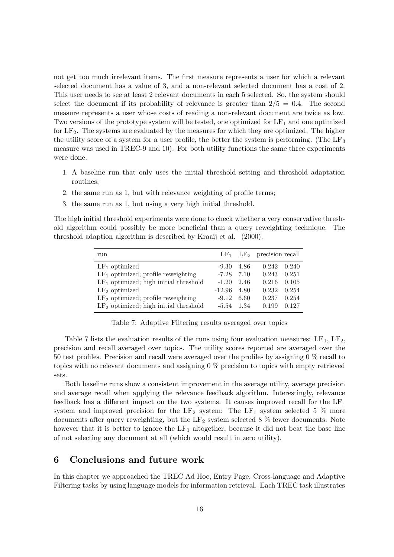not get too much irrelevant items. The first measure represents a user for which a relevant selected document has a value of 3, and a non-relevant selected document has a cost of 2. This user needs to see at least 2 relevant documents in each 5 selected. So, the system should select the document if its probability of relevance is greater than  $2/5 = 0.4$ . The second measure represents a user whose costs of reading a non-relevant document are twice as low. Two versions of the prototype system will be tested, one optimized for  $LF_1$  and one optimized for  $LF<sub>2</sub>$ . The systems are evaluated by the measures for which they are optimized. The higher the utility score of a system for a user profile, the better the system is performing. (The  $LF<sub>3</sub>$ measure was used in TREC-9 and 10). For both utility functions the same three experiments were done.

- 1. A baseline run that only uses the initial threshold setting and threshold adaptation routines;
- 2. the same run as 1, but with relevance weighting of profile terms;
- 3. the same run as 1, but using a very high initial threshold.

The high initial threshold experiments were done to check whether a very conservative threshold algorithm could possibly be more beneficial than a query reweighting technique. The threshold adaption algorithm is described by Kraaij et al. (2000).

| run                                     |          |       | $LF_1$ $LF_2$ precision recall |       |
|-----------------------------------------|----------|-------|--------------------------------|-------|
| $LF_1$ optimized                        | $-9.30$  | 4.86  | 0.242                          | 0.240 |
| $LF1$ optimized; profile reweighting    | $-7.28$  | 7.10  | 0.243                          | 0.251 |
| $LF1$ optimized; high initial threshold | $-1.20$  | 2.46  | 0.216                          | 0.105 |
| $LF2$ optimized                         | $-12.96$ | 4.80  | 0.232                          | 0.254 |
| $LF2$ optimized; profile reweighting    | $-9.12$  | 6.60  | 0.237                          | 0.254 |
| $LF2$ optimized; high initial threshold | $-5.54$  | -1.34 | 0.199                          | 0.127 |

Table 7: Adaptive Filtering results averaged over topics

Table 7 lists the evaluation results of the runs using four evaluation measures:  $LF_1$ ,  $LF_2$ , precision and recall averaged over topics. The utility scores reported are averaged over the 50 test profiles. Precision and recall were averaged over the profiles by assigning 0 % recall to topics with no relevant documents and assigning 0 % precision to topics with empty retrieved sets.

Both baseline runs show a consistent improvement in the average utility, average precision and average recall when applying the relevance feedback algorithm. Interestingly, relevance feedback has a different impact on the two systems. It causes improved recall for the  $LF<sub>1</sub>$ system and improved precision for the LF<sub>2</sub> system: The LF<sub>1</sub> system selected 5  $\%$  more documents after query reweighting, but the  $LF_2$  system selected 8 % fewer documents. Note however that it is better to ignore the  $LF_1$  altogether, because it did not beat the base line of not selecting any document at all (which would result in zero utility).

## 6 Conclusions and future work

In this chapter we approached the TREC Ad Hoc, Entry Page, Cross-language and Adaptive Filtering tasks by using language models for information retrieval. Each TREC task illustrates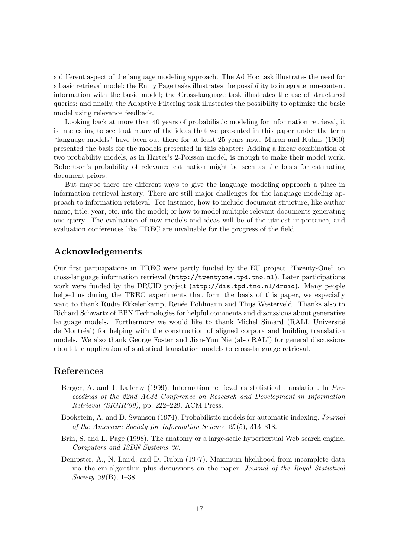a different aspect of the language modeling approach. The Ad Hoc task illustrates the need for a basic retrieval model; the Entry Page tasks illustrates the possibility to integrate non-content information with the basic model; the Cross-language task illustrates the use of structured queries; and finally, the Adaptive Filtering task illustrates the possibility to optimize the basic model using relevance feedback.

Looking back at more than 40 years of probabilistic modeling for information retrieval, it is interesting to see that many of the ideas that we presented in this paper under the term "language models" have been out there for at least 25 years now. Maron and Kuhns (1960) presented the basis for the models presented in this chapter: Adding a linear combination of two probability models, as in Harter's 2-Poisson model, is enough to make their model work. Robertson's probability of relevance estimation might be seen as the basis for estimating document priors.

But maybe there are different ways to give the language modeling approach a place in information retrieval history. There are still major challenges for the language modeling approach to information retrieval: For instance, how to include document structure, like author name, title, year, etc. into the model; or how to model multiple relevant documents generating one query. The evaluation of new models and ideas will be of the utmost importance, and evaluation conferences like TREC are invaluable for the progress of the field.

## Acknowledgements

Our first participations in TREC were partly funded by the EU project "Twenty-One" on cross-language information retrieval (http://twentyone.tpd.tno.nl). Later participations work were funded by the DRUID project (http://dis.tpd.tno.nl/druid). Many people helped us during the TREC experiments that form the basis of this paper, we especially want to thank Rudie Ekkelenkamp, Renée Pohlmann and Thijs Westerveld. Thanks also to Richard Schwartz of BBN Technologies for helpful comments and discussions about generative language models. Furthermore we would like to thank Michel Simard (RALI, Université de Montréal) for helping with the construction of aligned corpora and building translation models. We also thank George Foster and Jian-Yun Nie (also RALI) for general discussions about the application of statistical translation models to cross-language retrieval.

## References

- Berger, A. and J. Lafferty (1999). Information retrieval as statistical translation. In Proceedings of the 22nd ACM Conference on Research and Development in Information Retrieval (SIGIR'99), pp. 222–229. ACM Press.
- Bookstein, A. and D. Swanson (1974). Probabilistic models for automatic indexing. Journal of the American Society for Information Science 25 (5), 313–318.
- Brin, S. and L. Page (1998). The anatomy or a large-scale hypertextual Web search engine. Computers and ISDN Systems 30.
- Dempster, A., N. Laird, and D. Rubin (1977). Maximum likelihood from incomplete data via the em-algorithm plus discussions on the paper. Journal of the Royal Statistical *Society* 39(B), 1–38.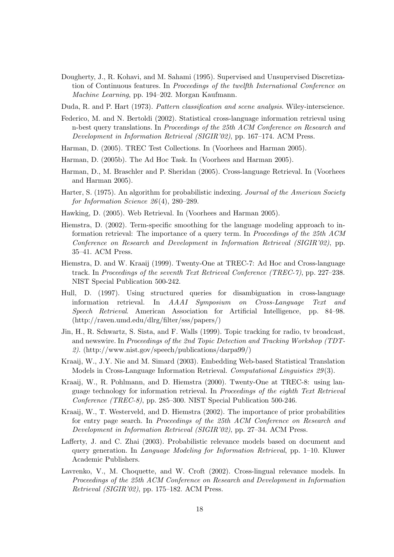Dougherty, J., R. Kohavi, and M. Sahami (1995). Supervised and Unsupervised Discretization of Continuous features. In Proceedings of the twelfth International Conference on Machine Learning, pp. 194–202. Morgan Kaufmann.

Duda, R. and P. Hart (1973). Pattern classification and scene analysis. Wiley-interscience.

- Federico, M. and N. Bertoldi (2002). Statistical cross-language information retrieval using n-best query translations. In Proceedings of the 25th ACM Conference on Research and Development in Information Retrieval (SIGIR'02), pp. 167–174. ACM Press.
- Harman, D. (2005). TREC Test Collections. In (Voorhees and Harman 2005).
- Harman, D. (2005b). The Ad Hoc Task. In (Voorhees and Harman 2005).
- Harman, D., M. Braschler and P. Sheridan (2005). Cross-language Retrieval. In (Voorhees and Harman 2005).
- Harter, S. (1975). An algorithm for probabilistic indexing. Journal of the American Society for Information Science  $26(4)$ , 280–289.
- Hawking, D. (2005). Web Retrieval. In (Voorhees and Harman 2005).
- Hiemstra, D. (2002). Term-specific smoothing for the language modeling approach to information retrieval: The importance of a query term. In Proceedings of the 25th ACM Conference on Research and Development in Information Retrieval (SIGIR'02), pp. 35–41. ACM Press.
- Hiemstra, D. and W. Kraaij (1999). Twenty-One at TREC-7: Ad Hoc and Cross-language track. In Proceedings of the seventh Text Retrieval Conference (TREC-7), pp. 227–238. NIST Special Publication 500-242.
- Hull, D. (1997). Using structured queries for disambiguation in cross-language information retrieval. In AAAI Symposium on Cross-Language Text and Speech Retrieval. American Association for Artificial Intelligence, pp. 84–98. (http://raven.umd.edu/dlrg/filter/sss/papers/)
- Jin, H., R. Schwartz, S. Sista, and F. Walls (1999). Topic tracking for radio, tv broadcast, and newswire. In Proceedings of the 2nd Topic Detection and Tracking Workshop (TDT-2). (http://www.nist.gov/speech/publications/darpa99/)
- Kraaij, W., J.Y. Nie and M. Simard (2003). Embedding Web-based Statistical Translation Models in Cross-Language Information Retrieval. Computational Linguistics 29 (3).
- Kraaij, W., R. Pohlmann, and D. Hiemstra (2000). Twenty-One at TREC-8: using language technology for information retrieval. In Proceedings of the eighth Text Retrieval Conference (TREC-8), pp. 285–300. NIST Special Publication 500-246.
- Kraaij, W., T. Westerveld, and D. Hiemstra (2002). The importance of prior probabilities for entry page search. In Proceedings of the 25th ACM Conference on Research and Development in Information Retrieval (SIGIR'02), pp. 27–34. ACM Press.
- Lafferty, J. and C. Zhai (2003). Probabilistic relevance models based on document and query generation. In Language Modeling for Information Retrieval, pp. 1–10. Kluwer Academic Publishers.
- Lavrenko, V., M. Choquette, and W. Croft (2002). Cross-lingual relevance models. In Proceedings of the 25th ACM Conference on Research and Development in Information Retrieval (SIGIR'02), pp. 175–182. ACM Press.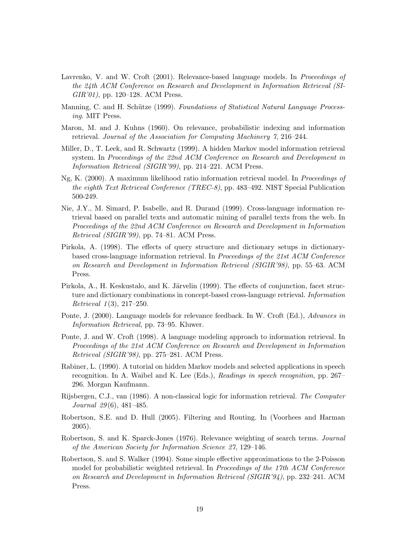- Lavrenko, V. and W. Croft (2001). Relevance-based language models. In *Proceedings of* the 24th ACM Conference on Research and Development in Information Retrieval (SI-GIR'01), pp. 120–128. ACM Press.
- Manning, C. and H. Schütze (1999). Foundations of Statistical Natural Language Processing. MIT Press.
- Maron, M. and J. Kuhns (1960). On relevance, probabilistic indexing and information retrieval. Journal of the Association for Computing Machinery 7, 216–244.
- Miller, D., T. Leek, and R. Schwartz (1999). A hidden Markov model information retrieval system. In Proceedings of the 22nd ACM Conference on Research and Development in Information Retrieval (SIGIR'99), pp. 214–221. ACM Press.
- Ng, K. (2000). A maximum likelihood ratio information retrieval model. In Proceedings of the eighth Text Retrieval Conference (TREC-8), pp. 483–492. NIST Special Publication 500-249.
- Nie, J.Y., M. Simard, P. Isabelle, and R. Durand (1999). Cross-language information retrieval based on parallel texts and automatic mining of parallel texts from the web. In Proceedings of the 22nd ACM Conference on Research and Development in Information Retrieval (SIGIR'99), pp. 74–81. ACM Press.
- Pirkola, A. (1998). The effects of query structure and dictionary setups in dictionarybased cross-language information retrieval. In Proceedings of the 21st ACM Conference on Research and Development in Information Retrieval (SIGIR'98), pp. 55–63. ACM Press.
- Pirkola, A., H. Keskustalo, and K. Järvelin (1999). The effects of conjunction, facet structure and dictionary combinations in concept-based cross-language retrieval. Information  $Retrieval 1(3), 217–250.$
- Ponte, J. (2000). Language models for relevance feedback. In W. Croft (Ed.), Advances in Information Retrieval, pp. 73–95. Kluwer.
- Ponte, J. and W. Croft (1998). A language modeling approach to information retrieval. In Proceedings of the 21st ACM Conference on Research and Development in Information Retrieval (SIGIR'98), pp. 275–281. ACM Press.
- Rabiner, L. (1990). A tutorial on hidden Markov models and selected applications in speech recognition. In A. Waibel and K. Lee (Eds.), Readings in speech recognition, pp. 267– 296. Morgan Kaufmann.
- Rijsbergen, C.J., van (1986). A non-classical logic for information retrieval. The Computer Journal 29 (6), 481–485.
- Robertson, S.E. and D. Hull (2005). Filtering and Routing. In (Voorhees and Harman 2005).
- Robertson, S. and K. Sparck-Jones (1976). Relevance weighting of search terms. Journal of the American Society for Information Science 27, 129–146.
- Robertson, S. and S. Walker (1994). Some simple effective approximations to the 2-Poisson model for probabilistic weighted retrieval. In Proceedings of the 17th ACM Conference on Research and Development in Information Retrieval (SIGIR'94), pp. 232–241. ACM Press.